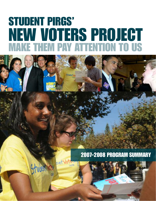# **STUDENT PIRGS' NEW VOTERS PROJECT MAKE THEM PAY ATTENTION TO US**

Studeet Vo

# **2007-2008 PROGRAM SUMMARY**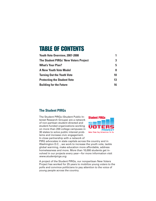# **TABLE OF CONTENTS**

| <b>Youth Vote Overview, 2007-2008</b> |    |
|---------------------------------------|----|
| The Student PIRGs' New Voters Project | 3  |
| <b>What's Your Plan?</b>              | 5  |
| <b>A New Youth Vote Model</b>         | 8  |
| <b>Turning Out the Youth Vote</b>     | 10 |
| <b>Protecting the Student Vote</b>    | 13 |
| <b>Building for the Future</b>        | 16 |

#### **The Student PIRGs**

The Student PIRGs (Student Public Interest Research Groups) are a network of non-partisan student-directed and student-funded organizations working on more than 200 college campuses in 30 states to solve public interest problems and increase civic engagement. In close partnership with a network of



PIRG advocates in state capitals across the country and in Washington D.C. , we work to increase the youth vote, tackle global warming, make education more affordable, address homelessness and more. More than 10,000 students get involved in our projects every year—for more information visit *www.studentpirgs.org*.

A project of the Student PIRGs, our nonpartisan New Voters Project has worked for 25 years to mobilize young voters to the polls and convince politicians to pay attention to the voice of young people across the country.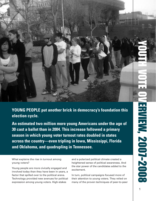**Y O**

**U**

**T** 

**YOUNG PEOPLE put another brick in democracy's foundation this election cycle.**

**An estimated two million more young Americans under the age of 30 cast a ballot than in 2004. This increase followed a primary season in which young voter turnout rates doubled in states across the country—even tripling in Iowa, Mississippi, Florida and Oklahoma, and quadrupling in Tennessee.**

What explains the rise in turnout among young voters?

Young people are more civically engaged and involved today than they have been in years, a factor that spilled over to the political arena. Technology provided new avenues for political expression among young voters. High-stakes

and a polarized political climate created a heightened sense of political awareness. And the star power of the candidates added to the excitement.

In turn, political campaigns focused more of their attention to young voters. They relied on many of the proven techniques of peer-to-peer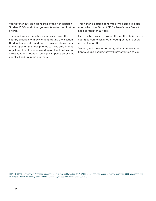young voter outreach pioneered by the non-partisan Student PIRGs and other grassroots voter mobilization efforts.

The result was remarkable. Campuses across the country crackled with excitement around the election: Student leaders stormed dorms, invaded classrooms and hopped on their cell phones to make sure friends registered to vote and showed up on Election Day. As a result, young voters on college campuses across the country lined up in big numbers.

This historic election confirmed two basic principles upon which the Student PIRGs' New Voters Project has operated for 25 years:

First, the best way to turn out the youth vote is for one young person to ask another young person to show up on Election Day.

Second, and most importantly, when you pay attention to young people, they will pay attention to you.

PREVIOUS PAGE: University of Wisconsin students line up to vote on November 4th. A WISPIRG-lead coalition helped to register more than 6,000 students to vote on campus. Across the country, youth turnout increased by at least two million over 2004 levels.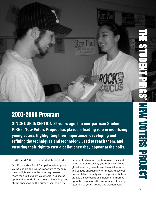

## **2007-2008 Program**

**SINCE OUR INCEPTION 25 years ago, the non-partisan Student PIRGs' New Voters Project has played a leading role in mobilizing young voters, highlighting their importance, developing and refining the techniques and technology used to reach them, and ensuring their right to cast a ballot once they appear at the polls.**

In 2007 and 2008, we expanded these efforts.

Our *What's Your Plan?* Campaign helped place young people and issues important to them in the spotlight early in the campaign season. More than 500 student volunteers in 28 states appeared at fundraisers, town hall meetings and stump speeches on the primary campaign trail

or submitted a photo petition to ask the candidates their plans on key youth issues such as global warming, healthcare, financial security, and college affordability. Ultimately, these volunteers talked directly with the presidential candidates on 106 occasions, helping to impress upon the campaigns the importance of paying attention to young voters this election cycle.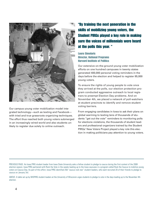

Our campus young voter mobilization model integrated technology—such as texting and Facebook with tried and true grassroots organizing techniques. The effort thus reached both young voters submerged in an increasingly wired world and also students unlikely to register due solely to online outreach.

## **"By training the next generation in the skills of mobilizing young voters, the Student PIRGs played a key role in making sure the voices of millennials were heard at the polls this year. "**

#### **Laura Simolaris Director, National Programs Harvard Institute of Politics**

Our extensive on-the-ground young voter mobilization efforts on one hundred campuses in twenty states generated 400,000 personal voting reminders in the days before the election and helped to register 85,000 young voters.

To ensure the rights of young people to vote once they arrived at the polls, our election protection program conducted aggressive outreach to local registrars to preempt Election Day problems. And on November 4th, we placed a network of poll-watchers at student precincts to identify and remove student voting barriers.

From engaging candidates in Iowa to ask their plans on global warming to texting tens of thousands of students "get out the vote" reminders to monitoring polls for elections violations, the thousands of student leaders and professional organizers trained by the Student PIRGs' New Voters Project played a key role this election in making politicians pay attention to young voters.

PREVIOUS PAGE: An Iowa PIRG student leader from Iowa State University asks a fellow student to pledge to caucus during the first contest of the 2008 election season. Iowa PIRG partnered with Rock the Vote in the weeks leading up to the Iowa caucuses in a program called Rock the Caucus to mobilize young voters on Caucus Day. As part of this effort, Iowa PIRG identified 250 "caucus rock star" student leaders, who each recruited 20 of their friends to pledge to caucus on January 3rd.

ABOVE: A table set up by WISPIRG student leaders at the University of Wisconsin urges students to pledge to vote in the days leading up to the November 4th election.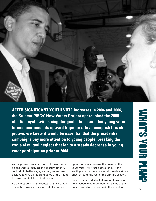

**AFTER SIGNIFICANT YOUTH VOTE increases in 2004 and 2006, the Student PIRGs' New Voters Project approached the 2008 election cycle with a singular goal—to ensure that young voter turnout continued its upward trajectory. To accomplish this objective, we knew it would be essential that the presidential campaigns pay more attention to young people, breaking the cycle of mutual neglect that led to a steady decrease in young voter participation prior to 2004.**

As the primary season kicked off, many campaigns were already talking about what they could do to better engage young voters. We decided to give all the candidates a little nudge to make sure talk turned into action.

As the first presidential contest of the election cycle, the Iowa caucuses provided a golden

opportunity to showcase the power of the youth vote. If we could establish a strong youth presence there, we would create a ripple effect through the rest of the primary season.

So we trained a dedicated group of Iowa student leaders who mobilized thousands of their peers around a two-pronged effort. First, our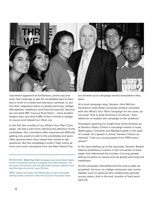

volunteers appeared at fundraisers, photo-ops and town hall meetings to ask the candidates face-to-face, and in front of crowds and television cameras, to outline their respective plans on global warming, college affordability, healthcare and financial security. Second, we recruited 250 "Caucus Rock Stars"—Iowa student leaders who recruited 5,000 of their friends to pledge to caucus and helped turn them out.

In the first few months of our *What's Your Plan?* Campaign, we had a hard time catching the attention of the candidates. Our volunteers often experienced difficulty getting into events to talk to the candidates and were often ignored when they raised their hands to ask questions. But the candidates couldn't help notice as more and more volunteers from the New Voters Proj-

PREVIOUS PAGE: *What's Your Plan?* campaigner asks Senator Barack Obama his plan to stop global warming at a campaign stop in New Hampshire. Over the course of the primaries, more than 500 student volunteers asked the candidates their plans on key youth issues 106 times.

ABOVE: Students ask Senator John McCain about his plan to stop global warming outside a fundraiser in New York City early in the primary season. ect showed up at campaign events everywhere they went.

At a local campaign stop, Senator John McCain thanked an Iowa State University student volunteer with the *What's Your Plan?* campaign for her work, announced "this is what America is all about," then asked her to explain the campaign to the audience.

Volunteers sporting our bright blue shirts showed up at Senator Hillary Clinton's campaign events in Iowa, Washington, Colorado and Massachusetts in the span of a week. At a speech in Ames, Senator Clinton exclaimed, "I see you young people from PIRG everywhere!"

In the days leading up to the caucuses, Senator Barack Obama published a column in the University of Iowa paper that referenced the number of young people asking his plans on issues such as global warming and healthcare.

As the campaign intensified and the caucus date approached, the buzz on college campuses was unmistakable, even to politicos who traditionally ignored young voters. And in the end, months of hard work paid off.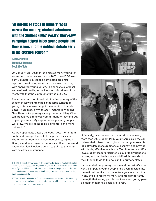**"At dozens of stops in primary races across the country, student volunteers with the Student PIRGs' What's Your Plan? campaign helped inject young people and their issues into the political debate early in the election season."**

**Heather Smith Executive Director Rock the Vote**

On January 3rd, 2008, three times as many young voters turned out to caucus than in 2000. Iowa PIRG student volunteers in college-dominated precincts reported overflowing rooms and caucuses bursting with energized young voters. The consensus of local and national media, as well as the political establishment, was that the youth vote turned out BIG.

The momentum continued into the first primary of the season in New Hampshire as the large turnout of young voters in Iowa caught the attention of candidates. In an interview with *MTV News* following her New Hampshire primary victory, Senator Hillary Clinton articulated a renewed commitment to reaching out to young voters: "My support among young people will grow. We are going to be doing more and more outreach. "

As we hoped at its outset, the youth vote momentum continued through the rest of the primary season. Youth turnout doubled in New Hampshire, tripled in Georgia and quadrupled in Tennessee. Campaigns and national political insiders began to point to the youth vote as a key constituency.

TOP RIGHT: Twenty-three-year-old Ryan Crane asks Senator Joe Biden his plan to make a college education affordable. A student at the University of Northern Iowa, Ryan mobilized hundreds of fellow students to pledge to caucus in January—leading dorm storms, organizing tabling events on campus, and making class announcements.

BOTTOM RIGHT: University of Connecticut students ask Governor Mitt Romney his plans to make a college education affordable at a New Hampshire campaign stop during the primary season.





Ultimately, over the course of the primary season, more than 500 Student PIRG volunteers asked the candidates their plans to stop global warming; make college affordable; ensure financial security; and provide affordable, effective healthcare. Two hundred and fifty Iowa student leaders recruited 5,000 of their friends to caucus; and hundreds more mobilized thousands of their friends to go to the polls in the primary states.

By the end of the primary season and our *What's Your Plan?* campaign, young people had been injected into the national political discourse to a greater extent than in any cycle in recent memory, and most importantly the myth that young people don't vote and young people don't matter had been laid to rest.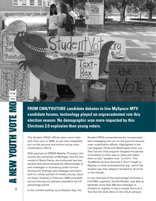**AN E W Y O U T H V O T E M O d EL**

udentvot

**FROM CNN/YOUTUBE candidate debates to live MySpace-MTV candidate forums, technology played an unprecedented role this election season. No demographic was more impacted by this Elections 2.0 explosion than young voters.**

The Student PIRGs' efforts were more hightech than ever in 2008, as we fully integrated our on-the-ground and online young voter mobilization efforts.

With partners at CREDO Mobile, Princeton University, the University of Michigan and the University of Notre Dame, we conducted two key studies that demonstrated the effectiveness of text messages in increasing youth turnout. Among the findings; text message reminders sent to a study sample of mostly young voters on Super Tuesday in February 2008 increased turnout among our sample population by 4.6 percentage points.

Student PIRGs comprehensively incorporated text messaging into our on-the-ground campus voter mobilization efforts. Highlighted in the *Los Angeles Times* and *Washington Post*, our Text Out the Vote program stopped thousands of students on their way to class and asked them to text "student vote" to 41411. The TextMarks service returned a 'Don't Forget to Register to Vote at studentvote.org,' which the student was then asked to forward to all of his or her friends.

In one example of this technology's success, a CALPIRG organizer, Gerald Nicdao, was able to generate more than 500 text message reminders to register in just a couple hours at a Text Out the Vote table on the UCLA campus.

In the months leading up to Election Day, the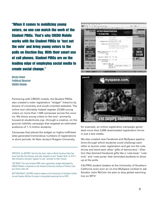**"When it comes to mobilizing young voters, no one can match the work of the Student PIRGs. That's why CREDO Mobile works with the Student PIRGs to 'text out the vote' and bring young voters to the polls on Election Day. With their smart use of cell phones, Student PIRGs are on the leading edge of employing social media to create social change."**

**Becky Bond Political Director CREDO Mobile**

Partnering with CREDO mobile, the Student PIRGs also created a voter registration "widget" linked to by dozens of university and youth-oriented websites. The online tool ultimately helped register 23,000 young voters on more than 1,500 campuses across the country. We drove young voters to the tool—primarily housed at *studentvote.org*—through a creative, on the ground visibility campaign that targeted an estimated audience of 1. 5 million students.

Campuses that placed the widget on highly trafficked sites generated tremendous numbers of registrations in short periods. At New Jersey's Rutgers University,

OPPOSITE: An NCPIRG 'Text Out the Vote' table at North Carolina State features Text-Rex the dinosaur and asks students to text 'Student Vote' to 41411, then forward a returned 'register to vote' reminder to their friends.

TOP RIGHT: The new Student PIRG voter registration widget developed by CREDO Mobile is featured on the Harvard University Institute of Politics Campus Voices web site.

BOTTOM RIGHT: CALPIRG student leaders at the University of Southern California ask Senator McCain his plan to stop global warming live on MTV.





for example, an online registration campaign generated more than 3,000 downloaded registration forms in just a few weeks.

We also created new Facebook and MySpace applications through which students could challenge each other to launch voter registration and get out the vote drives and send each other 'gifts of democracy'—Election Day-themed Facebook gifts like a 'vote boat,' 'vote troll,' and 'vote purse' that reminded students to show up at the polls.

CALPIRG student leaders at the University of Southern California even won an on-line MySpace contest to ask Senator John McCain his plan to stop global warming live on MTV!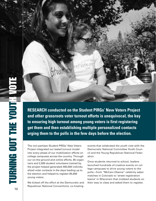**RESEARCH conducted on the Student PIRGs' New Voters Project and other grassroots voter turnout efforts is unequivocal, the key to ensuring high turnout among young voters is first registering get them and then establishing multiple personalized contacts urging them to the polls in the few days before the election.**

The non-partisan Student PIRGs' New Voters Project integrated our tested turnout model into every phase of our mobilization efforts on college campuses across the country. Through our on-the-ground and online efforts, 85 organizers and 2,000 student volunteers trained by the project helped generated 400,000 individualized voter contacts in the days leading up to the election and helped to register 85,000 young voters.

We kicked off the effort at the Democratic and Republican National Conventions, co-hosting

events that celebrated the youth vote with the Democratic National Committee Youth Council and the Young Republican National Federation.

Once students returned to school, leaders launched hundreds of creative events on college campuses to drive young voters to the polls—from "McCain-Obama" celebrity saber matches in Colorado to 'street registration teams' in Wisconsin that mobbed students on their way to class and asked them to register.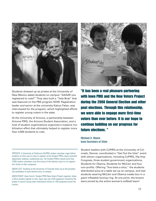

Students dressed up as pirates at the University of New Mexico asked students on campus "AAAAR you registered to vote?" They also built a "Vote Boat" that was featured on the PBS program NOW. Registration leader and senior at the university Katryn Faher, was interviewed for the program, which highlighted efforts to register young voters in the state.

At the University of Arizona, a partnership between Arizona PIRG, the Arizona Student Association, and a host of student organizations organized a massive mobilization effort that ultimately helped to register more than 4,800 students to vote.

OPPOSITE: A University of California CALPIRG student volunteer urges fellow students on their way to class to register at the Student PIRGs newly launched registration website, studentvote.org. The Student PIRGs trained more than 2,000 student volunteers over the course of the election cycle to run registration drives on their campuses.

ABOVE LEFT: Students at the University of Colorado dress up as the presidential candidates to build election buzz on campus.

ABOVE RIGHT: Sean Carroll, Student PIRG New Voters Project organizer, helps a UCLA student register to vote. Sean was one of 85 organizers trained by the project to launch young voter mobilization drives on 100 campuses across the country.



**"It has been a real pleasure partnering with Iowa PIRG and the New Voters Project during the 2008 General Election and other past elections. Through this relationship, we were able to engage more first-time voters than ever before. It is our hope to continue building on our progress for future elections. "**

**Michael A. Mauro Iowa Secretary of State**

Student leaders with CoPIRG at the University of Colorado, Denver, coordinated a "Get Out the Vote" event with eleven organizations, including CoPIRG, Hip Hop Congress, three student government organizations, Students for Obama, Students for McCain and four non-profits. Offering "five texts a slice," the students distributed pizza at a table set up on campus, and had students wearing McCain and Obama masks box in a giant inflatable boxing ring. At one point, the boxers were joined by the entire women's softball team!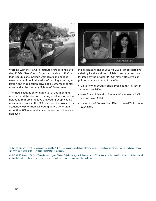

Working with the Harvard Institute of Politics, the Student PIRGs' New Voters Project also trained 120 College Republicans, College Democrats and college newspaper editors in the skills of running voter registration and mobilization drives at a September conference held at the Kennedy School of Government.

The media caught on to high level of youth engagement around the election, running positive stories that helped to reinforce the idea that young people could make a difference in the 2008 election. The work of the Student PIRGs to mobilize young voters generated more than 850 media hits over the course of the election cycle.

**LOS ANGELES** 

Initial comparisons of 2008 vs. 2004 turnout data provided by local elections officials in student precincts targeted by the Student PIRGs' New Voters Project pointed to the success of the effort:

- University of South Florida, Precinct 353—a 48% increase over 2004.
- Iowa State University, Precinct 4-5 at least a 39% increase over 2004.
- University of Connecticut, District 1—a 48% increase over 2004.

ABOVE LEFT: University of New Mexico senior and NMPIRG student leader Katryn Faher's efforts to register students on her campus was featured in an October PBS NOW story about efforts to register young voters in the state.

ABOVE RIGHT: Student PIRG New Voters Project Program Director Sujatha Jahagirdar is interviewed by *News Hour with Jim Lehrer's* Judy Woodruff about historic youth vote trends and the effectiveness of peer-to-peer outreach efforts in turning out the youth vote.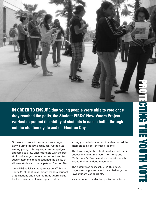**IN ORDER TO ENSURE that young people were able to vote once they reached the polls, the Student PIRGs' New Voters Project worked to protect the ability of students to cast a ballot throughout the election cycle and on Election Day.**

Our work to protect the student vote began early, during the Iowa caucuses. As the buzz among young voters grew, some campaigns appeared to grow uncomfortable with the possibility of a large young voter turnout and issued statements that questioned the ability of all Iowa students to participate on Election Day.

Iowa PIRG quickly sprang to action. Within 48 hours, 20 student government leaders, student organizations and even the right-guard tackle for the University of Iowa signed onto a

strongly-worded statement that denounced the attempts to disenfranchise students.

The furor caught the attention of several media outlets, including the *New York Times* and *Cedar Rapids Gazette* editorial boards, which issued their own denouncements.

The outcry was successful. Within days, major campaigns retracted their challenges to Iowa student voting rights.

We continued our election protection efforts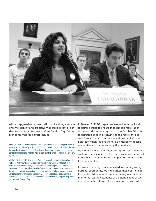

with an aggressive outreach effort to local registrars in order to identify and proactively address potential barriers to student voters well before Election Day. Some highlights from this effort include:

PREVIOUS PAGE: Students spent three hours or more in line throughout much of the day at the University of Southern Florida in order to vote. A Student PIRG-established network of student poll watchers flagged an early problem at a student polling place and working with a local election layer, corrected the problem by 9:30 am.

ABOVE: Student PIRG New Voters Project Program Director Sujatha Jahagirdar (left) and Matthew Segal, Executive Director of the Student Association for Voter Empowerment (right), testify before Congress regarding barriers to student voters. The project integrated efforts to protect student voters throughout the election season, conducting aggressive outreach to local registrars to prevent Election Day problems, extensively educating students about voting requirements, and establishing a network of poll-watchers to flag and help solve problems on Election Day.

In Denver, CoPIRG organizers worked with the local registrar's office to ensure that campus registration drives could continue right up to the October 6th voter registration deadline, convincing the registrar to accept forms from across the state at one central location rather than require them to be mailed to dozens of counties across the state by the deadline.

At Indiana University, after prompting by a campus coalition that included INPIRG, the local registrar agreed to establish early voting on campus for three days before the deadline.

In cases where registrars persisted in creating voting hurdles for students, we highlighted these barriers in the media. When a local registrar in Virginia issued a memo that warned students of a potential loss of tax and scholarship status if they registered to vote where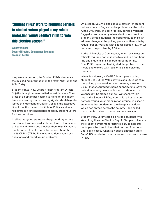## **"Student PIRGs' work to highlight barriers to student voters played a key role in protecting young people's right to vote this election season."**

**Wendy Weiser Deputy Director, Democracy Program Brennan Center**

they attended school, the Student PIRGs denounced the misleading information in the *New York Times* and *USA Today*.

Student PIRGs' New Voters Project Program Director Sujatha Jahagirdar was invited to testify before Congress at a September hearing to highlight the importance of ensuring student voting rights. Ms. Jahagirdar joined the President of Oberlin College, the Executive Director of the Harvard Institute of Politics and local registrars to highlight barriers faced by student voters for the committee.

In all our targeted states, on-the-ground organizers and student volunteers distributed tens of thousands of flyers and texted and emailed them with ID requirements, where to vote, and information about the 1-866-OUR-VOTE hotline where students could ask questions and report voting problems.

On Election Day, we also set up a network of student poll watchers to flag and solve problems at the polls. At the University of South Florida, our poll watchers flagged a problem early when election workers improperly denied students the opportunity to make an address change at the polling place and then vote by regular ballot. Working with a local election lawyer, we corrected the problem by 9:30 am.

At the University of Connecticut, when local election officials required non-students to stand in a half-hour line and students in a separate three-hour line, ConnPIRG organizers highlighted the problem in the media and worked with local officials to solve the problem.

When Jeff Howell, a MoPIRG intern participating in student Get Out the Vote activities at a St. Louis campus polling place received a text message around 2 p.m. that encouraged Obama supporters to leave the polls due to long lines and instead to show up on Wednesday, he alerted our poll-watchers. Within hours, the Student PIRGs, along with a host of nonpartisan young voter mobilization groups, released a statement that condemned the deceptive tactic which had spread across the country—and called upon media outlets to denounce the message.

Student PIRG volunteers also helped students withstand long lines on Election Day. At Temple University, the student government recruited a DJ to help students pass the time in lines that reached four hours until polls closed. When rain added another hurdle, PennPIRG handed out umbrellas and ponchos to those in line.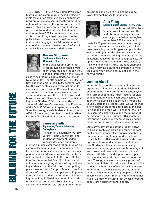THE STUDENT PIRGS' New Voters Project mobilized young voters during the 2008 election cycle through an extensive civic engagement program on college campuses throughout the nation. At the core of this program was a network of 85 organizers on one hundred campuses that trained hundreds of student leaders and more than 2,000 volunteers in the basic skills of mobilizing to get their peers to the polls. Many of these students will continue their work to engage their fellow students in the political process post-election. Profiles of three such leaders are included below.



#### **Kassie McCleery Sophomore, Ohio State University, Ohio**

In the days leading up to the election, Kassie donned a 'vote fairy' costume and stopped thousands of students on their way to

class to ask them to sign a pledge to vote on November 4th. Her efforts paid off—by Election Day, she made more than 1,000 personal Get Out the Vote contacts, a proven technique for increasing youth turnout. Post-election, she is committed to building on her work and will spearhead a campus effort to help lower textbook prices on college campuses by participating in the Student PIRGs' national *Make Textbooks Affordable* campaign. The President of the Ohio PIRG student organization at Ohio State University, Kassie is also an International Affairs Scholar and member of the John Glenn Institute Civic Leadership Council on campus.



#### **Vanessa Smith Sophomore, Temple University, Pennsylvania**

As PennPIRG Student PIRG New Voters Project Coordinator and student government leader, Vanessa designed and imple-

mented a major voter mobilization drive on her campus, leading tabling, voter education efforts, class announcements, and text message, phone bank and dorm storm events that turned out hundreds of students to the polls. On Election Day, Vanessa led PennPIRG interns and volunteers in designing dozens of signs directing students from their dorms to their polling places, worked with Campus Safety to provide dozens of shuttles from campus to polling locations, and kept students entertained while waiting in the long Philadelphia voting lines with refreshments and music. Post-election, Vanessa will continue to work with student government

on campus and help to run a campaign to lower textbook prices for students



#### **Alex Yohay Senior, Rutgers College, New Jersey**

The coordinator of NJPIRG's New Voters Project on campus, Alex and his team ran a grassroots campaign that helped to register more than 6,700 voters, and

made 9,400 get-out-the-vote contacts through dorm storm events, phone calling, and viral text-messaging on the Rutgers campus in the weeks leading up to the election. His favorite part of the drive was seeing the voter turn-out in student-heavy Rutgers College precincts go up as much as 58% over 2004. Post-election, Alex will help lead NJPIRG Student Chapter's Global Warming Solutions campaign to mobilize support for green energy policies in the new Congress.

#### **Looking Ahead**

In the coming months, student volunteers and organizers trained by the Student PIRGs will build upon our work during this election cycle and further expand the infrastructure for civic engagement on college campuses across the country. Applying skills learned by mobilizing young voters this election cycle, we will recruit a new cadre of students energized by the election and looking for a way to channel their enthusiasm. We also will expand the number of permanently funded Student PIRG chapters that support year-round campus civic engagement programs with professional organizers.

State advocacy groups of the Student PIRGs will organize this effort around four important public policy issues: clean energy, healthcare, transportation, and hunger and homelessness. For each, U.S. PIRG experts have already developed a platform and strategies for students to use. Students will lead awareness raising events on campus, generate media coverage of each issue, and meet with state and federal elected officials to build support for our platforms when these officials come home for recess. Through this work, advocacy groups of the Student PIRGs will train an additional 10,000 students on hundreds of campuses in the coming months in the basic skills of civic engagement, and ensure that young people participate in service and government at higher and higher levels, ultimately ensuring that voices of young people are heard for years to come.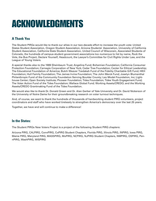# **ACKNOWLEDGMENTS**

### **A Thank You**

The Student PIRGs would like to thank our allies in our two-decade effort to increase the youth vote: United States Student Association, Oregon Student Association, Arizona Students' Association, University of California Student Association, California State Student Association, United Council of Wisconsin, Associated Students of Colorado, the hundreds of campus student government associations too numerous to list by name, Rock the Vote, the Bus Project, Declare Yourself, Headcount, the Lawyer's Committee for Civil Rights Under Law, and the League of Young Voters.

A special thanks also to the 1989 Sheinbaum Trust; Angelina Fund; Bohemian Foundation; California Consumer Protection Foundation; Carnegie Corporation of New York; Cedar Tree Foundation; Center for Ethical Leadership; The Educational Foundation of America; Butch Weaver Tzedakah Fund of the Fidelity Charitable Gift Fund; HKH Foundation; Hull Family Foundation; The James Irvine Foundation; The John Merck Fund; Joselyn Blumenthal Philanthropic Fund of the Community Foundation Serving Boulder County; Leo Model Foundation, Inc; Lighthouse Center; Open Society Institute; Picower Foundation; Tides Foundation; Tides Youth Engagement Fund; The Voter Action Fund of the Tides Foundation; Wallace Global Fund; Working Assets/CREDO; and the Working Assets/CREDO Grantmaking Fund of the Tides Foundation.

We would also like to thank Dr. Donald Green and Dr. Alan Gerber of Yale University and Dr. David Nickerson of the University of Notre Dame for their groundbreaking research on voter turnout techniques.

And, of course, we want to thank the hundreds of thousands of hardworking student PIRG volunteers, project coordinators and staff who have worked tirelessly to strengthen America's democracy over the last 25 years.

Together, we have and will continue to make a difference!

#### **In the States:**

The Student PIRGs New Voters Project is a project of the following Student PIRG chapters:

Arizona PIRG, CALPIRG, ConnPIRG, CoPIRG Student Chapters, Florida PIRG, Illinois PIRG, INPIRG, Iowa PIRG, Maine PIRG, Maryland PIRG, MASSPIRG, MoPIRG, NCPIRG, NJPIRG Student Chapters, NMPIRG, OSPIRG, PennPIRG, WashPIRG, WISPIRG